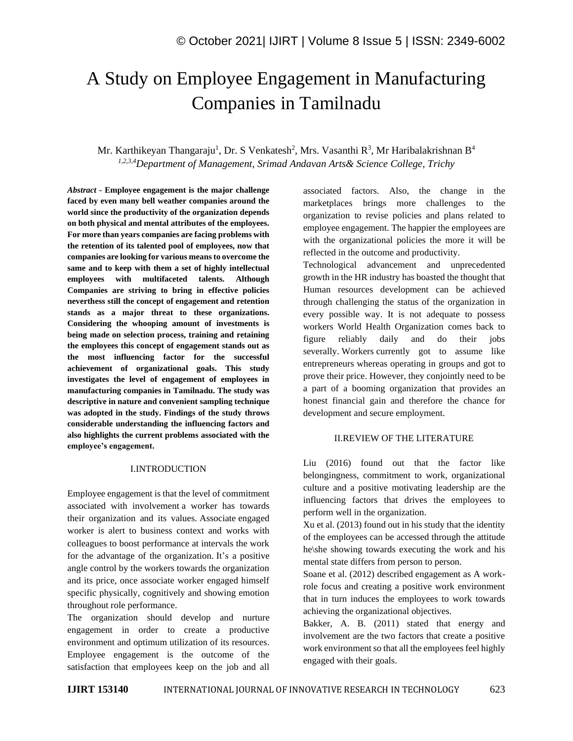# A Study on Employee Engagement in Manufacturing Companies in Tamilnadu

Mr. Karthikeyan Thangaraju<sup>1</sup>, Dr. S Venkatesh<sup>2</sup>, Mrs. Vasanthi R<sup>3</sup>, Mr Haribalakrishnan B<sup>4</sup> *1,2,3,4Department of Management, Srimad Andavan Arts& Science College, Trichy*

*Abstract -* **Employee engagement is the major challenge faced by even many bell weather companies around the world since the productivity of the organization depends on both physical and mental attributes of the employees. For more than years companies are facing problems with the retention of its talented pool of employees, now that companies are looking for various means to overcome the same and to keep with them a set of highly intellectual employees with multifaceted talents. Although Companies are striving to bring in effective policies neverthess still the concept of engagement and retention stands as a major threat to these organizations. Considering the whooping amount of investments is being made on selection process, training and retaining the employees this concept of engagement stands out as the most influencing factor for the successful achievement of organizational goals. This study investigates the level of engagement of employees in manufacturing companies in Tamilnadu. The study was descriptive in nature and convenient sampling technique was adopted in the study. Findings of the study throws considerable understanding the influencing factors and also highlights the current problems associated with the employee's engagement.** 

#### I.INTRODUCTION

Employee engagement is that the level of commitment associated with involvement a worker has towards their organization and its values. Associate engaged worker is alert to business context and works with colleagues to boost performance at intervals the work for the advantage of the organization. It's a positive angle control by the workers towards the organization and its price, once associate worker engaged himself specific physically, cognitively and showing emotion throughout role performance.

The organization should develop and nurture engagement in order to create a productive environment and optimum utilization of its resources. Employee engagement is the outcome of the satisfaction that employees keep on the job and all associated factors. Also, the change in the marketplaces brings more challenges to the organization to revise policies and plans related to employee engagement. The happier the employees are with the organizational policies the more it will be reflected in the outcome and productivity.

Technological advancement and unprecedented growth in the HR industry has boasted the thought that Human resources development can be achieved through challenging the status of the organization in every possible way. It is not adequate to possess workers World Health Organization comes back to figure reliably daily and do their jobs severally. Workers currently got to assume like entrepreneurs whereas operating in groups and got to prove their price. However, they conjointly need to be a part of a booming organization that provides an honest financial gain and therefore the chance for development and secure employment.

#### II.REVIEW OF THE LITERATURE

Liu (2016) found out that the factor like belongingness, commitment to work, organizational culture and a positive motivating leadership are the influencing factors that drives the employees to perform well in the organization.

Xu et al. (2013) found out in his study that the identity of the employees can be accessed through the attitude he\she showing towards executing the work and his mental state differs from person to person.

Soane et al. (2012) described engagement as A workrole focus and creating a positive work environment that in turn induces the employees to work towards achieving the organizational objectives.

Bakker, A. B. (2011) stated that energy and involvement are the two factors that create a positive work environment so that all the employees feel highly engaged with their goals.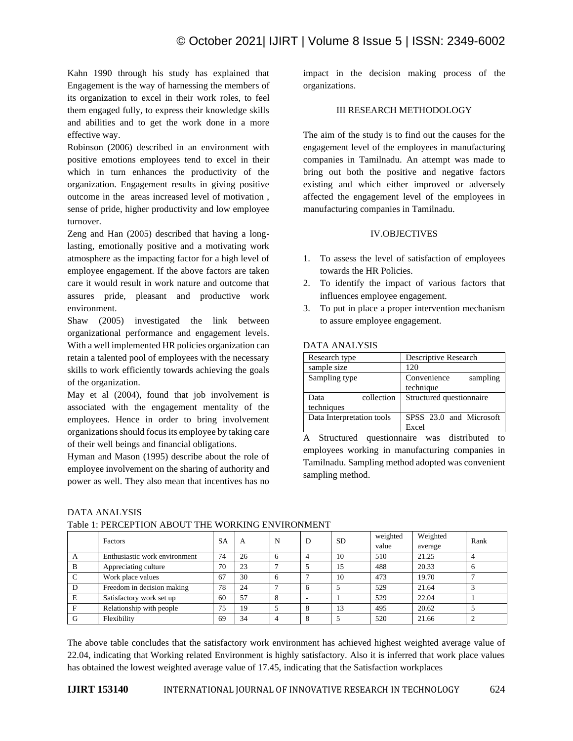Kahn 1990 through his study has explained that Engagement is the way of harnessing the members of its organization to excel in their work roles, to feel them engaged fully, to express their knowledge skills and abilities and to get the work done in a more effective way.

Robinson (2006) described in an environment with positive emotions employees tend to excel in their which in turn enhances the productivity of the organization. Engagement results in giving positive outcome in the areas increased level of motivation , sense of pride, higher productivity and low employee turnover.

Zeng and Han (2005) described that having a longlasting, emotionally positive and a motivating work atmosphere as the impacting factor for a high level of employee engagement. If the above factors are taken care it would result in work nature and outcome that assures pride, pleasant and productive work environment.

Shaw (2005) investigated the link between organizational performance and engagement levels. With a well implemented HR policies organization can retain a talented pool of employees with the necessary skills to work efficiently towards achieving the goals of the organization.

May et al (2004), found that job involvement is associated with the engagement mentality of the employees. Hence in order to bring involvement organizations should focus its employee by taking care of their well beings and financial obligations.

Hyman and Mason (1995) describe about the role of employee involvement on the sharing of authority and power as well. They also mean that incentives has no impact in the decision making process of the organizations.

### III RESEARCH METHODOLOGY

The aim of the study is to find out the causes for the engagement level of the employees in manufacturing companies in Tamilnadu. An attempt was made to bring out both the positive and negative factors existing and which either improved or adversely affected the engagement level of the employees in manufacturing companies in Tamilnadu.

#### IV.OBJECTIVES

- 1. To assess the level of satisfaction of employees towards the HR Policies.
- 2. To identify the impact of various factors that influences employee engagement.
- 3. To put in place a proper intervention mechanism to assure employee engagement.

#### DATA ANALYSIS

| Research type                    | Descriptive Research                 |  |  |  |  |
|----------------------------------|--------------------------------------|--|--|--|--|
| sample size                      | 120                                  |  |  |  |  |
| Sampling type                    | Convenience<br>sampling<br>technique |  |  |  |  |
| collection<br>Data<br>techniques | Structured questionnaire             |  |  |  |  |
| Data Interpretation tools        | SPSS 23.0 and Microsoft<br>Excel     |  |  |  |  |

A Structured questionnaire was distributed to employees working in manufacturing companies in Tamilnadu. Sampling method adopted was convenient sampling method.

# DATA ANALYSIS

|  | Table 1: PERCEPTION ABOUT THE WORKING ENVIRONMENT |  |
|--|---------------------------------------------------|--|
|--|---------------------------------------------------|--|

|   | Factors                       | <b>SA</b> | A  | N | D | <b>SD</b> | weighted | Weighted | Rank |
|---|-------------------------------|-----------|----|---|---|-----------|----------|----------|------|
|   |                               |           |    |   |   |           | value    | average  |      |
|   | Enthusiastic work environment | 74        | 26 | h |   | 10        | 510      | 21.25    |      |
| B | Appreciating culture          | 70        | 23 |   |   | 15        | 488      | 20.33    |      |
|   | Work place values             | 67        | 30 |   |   | 10        | 473      | 19.70    |      |
|   | Freedom in decision making    | 78        | 24 |   |   |           | 529      | 21.64    |      |
|   | Satisfactory work set up      | 60        | 57 |   |   |           | 529      | 22.04    |      |
|   | Relationship with people      | 75        | 19 |   |   | 13        | 495      | 20.62    |      |
|   | Flexibility                   | 69        | 34 |   |   |           | 520      | 21.66    |      |

The above table concludes that the satisfactory work environment has achieved highest weighted average value of 22.04, indicating that Working related Environment is highly satisfactory. Also it is inferred that work place values has obtained the lowest weighted average value of 17.45, indicating that the Satisfaction workplaces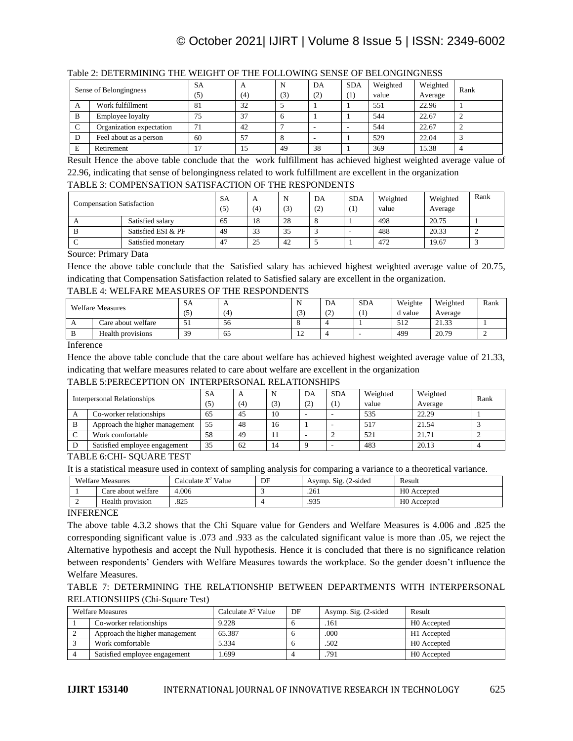# © October 2021| IJIRT | Volume 8 Issue 5 | ISSN: 2349-6002

|        | Sense of Belongingness   | <b>SA</b> | A   |     | DA  | <b>SDA</b> | Weighted | Weighted | Rank |
|--------|--------------------------|-----------|-----|-----|-----|------------|----------|----------|------|
|        |                          | (5)       | (4) | (3) | (2) | (1)        | value    | Average  |      |
| A      | Work fulfillment         | 81        | 32  |     |     |            | 551      | 22.96    |      |
| B      | Employee loyalty         | 75        | 37  |     |     |            | 544      | 22.67    |      |
| $\sim$ | Organization expectation | 71        | 42  |     |     |            | 544      | 22.67    |      |
| D      | Feel about as a person   | 60        | 57  |     |     |            | 529      | 22.04    |      |
| E      | Retirement               | 17        | 15  | 49  | 38  |            | 369      | 15.38    |      |

# Table 2: DETERMINING THE WEIGHT OF THE FOLLOWING SENSE OF BELONGINGNESS

Result Hence the above table conclude that the work fulfillment has achieved highest weighted average value of 22.96, indicating that sense of belongingness related to work fulfillment are excellent in the organization

#### TABLE 3: COMPENSATION SATISFACTION OF THE RESPONDENTS

| <b>Compensation Satisfaction</b> |                    | <b>SA</b><br>(5) | $\mathbf{A}$<br>(4) | N<br>(3) | DA<br>(2) | <b>SDA</b><br>$\left(1\right)$ | Weighted<br>value | Weighted<br>Average | Rank |
|----------------------------------|--------------------|------------------|---------------------|----------|-----------|--------------------------------|-------------------|---------------------|------|
|                                  | Satisfied salary   | 65               | 18                  | 28       |           |                                | 498               | 20.75               |      |
|                                  | Satisfied ESI & PF | 49               | 33                  | 35       |           |                                | 488               | 20.33               |      |
|                                  | Satisfied monetary | -47              | 25                  | 42       |           |                                | 472               | 19.67               |      |

Source: Primary Data

Hence the above table conclude that the Satisfied salary has achieved highest weighted average value of 20.75, indicating that Compensation Satisfaction related to Satisfied salary are excellent in the organization.

#### TABLE 4: WELFARE MEASURES OF THE RESPONDENTS

| <b>Welfare Measures</b> |                    | SA  |    |                | DA                      | <b>SDA</b> | Weighte | Weighted | Rank |
|-------------------------|--------------------|-----|----|----------------|-------------------------|------------|---------|----------|------|
|                         |                    | (5) | Ι4 | $\sqrt{2}$     | $\curvearrowright$<br>◟ | л.         | d value | Average  |      |
| $\Gamma$                | Care about welfare | IJ  | 56 |                |                         |            | 512     | 21.33    |      |
|                         | Health provisions  | 39  | O  | $\overline{1}$ |                         |            | 499     | 20.79    |      |

Inference

Hence the above table conclude that the care about welfare has achieved highest weighted average value of 21.33, indicating that welfare measures related to care about welfare are excellent in the organization

#### TABLE 5:PERECEPTION ON INTERPERSONAL RELATIONSHIPS

| Interpersonal Relationships |                                | SА  | $\mathbf A$ |     | DA  | <b>SDA</b> | Weighted | Weighted | Rank |
|-----------------------------|--------------------------------|-----|-------------|-----|-----|------------|----------|----------|------|
|                             |                                | (5) | (4)         | (3) | (2) | Ί.         | value    | Average  |      |
| A                           | Co-worker relationships        | 65  | 45          | 10  |     |            | 535      | 22.29    |      |
| B                           | Approach the higher management | 55  | 48          | 16  |     |            | 517      | 21.54    |      |
|                             | Work comfortable               | 58  | 49          |     |     |            | 521      | 21.71    |      |
|                             | Satisfied employee engagement  | 35  | 62          | 14  |     |            | 483      | 20.13    |      |

TABLE 6:CHI- SQUARE TEST

It is a statistical measure used in context of sampling analysis for comparing a variance to a theoretical variance.

|   | <b>Welfare Measures</b> | Calculate $X^2$ Value | DF | Asymp. Sig. (2-sided) | Result                  |
|---|-------------------------|-----------------------|----|-----------------------|-------------------------|
|   | Care about welfare      | 4.006                 |    | .261                  | H <sub>0</sub> Accepted |
| ∸ | Health provision        | .825                  |    | .935                  | H <sub>0</sub> Accepted |

## INFERENCE

The above table 4.3.2 shows that the Chi Square value for Genders and Welfare Measures is 4.006 and .825 the corresponding significant value is .073 and .933 as the calculated significant value is more than .05, we reject the Alternative hypothesis and accept the Null hypothesis. Hence it is concluded that there is no significance relation between respondents' Genders with Welfare Measures towards the workplace. So the gender doesn't influence the Welfare Measures.

# TABLE 7: DETERMINING THE RELATIONSHIP BETWEEN DEPARTMENTS WITH INTERPERSONAL RELATIONSHIPS (Chi-Square Test)

| <b>Welfare Measures</b>        | Calculate $X^2$ Value | DF | Asymp. Sig. (2-sided | Result      |
|--------------------------------|-----------------------|----|----------------------|-------------|
| Co-worker relationships        | 9.228                 |    | .161                 | H0 Accepted |
| Approach the higher management | 65.387                |    | .000                 | H1 Accepted |
| Work comfortable               | 5.334                 |    | .502                 | H0 Accepted |
| Satisfied employee engagement  | .699                  |    | .791                 | H0 Accepted |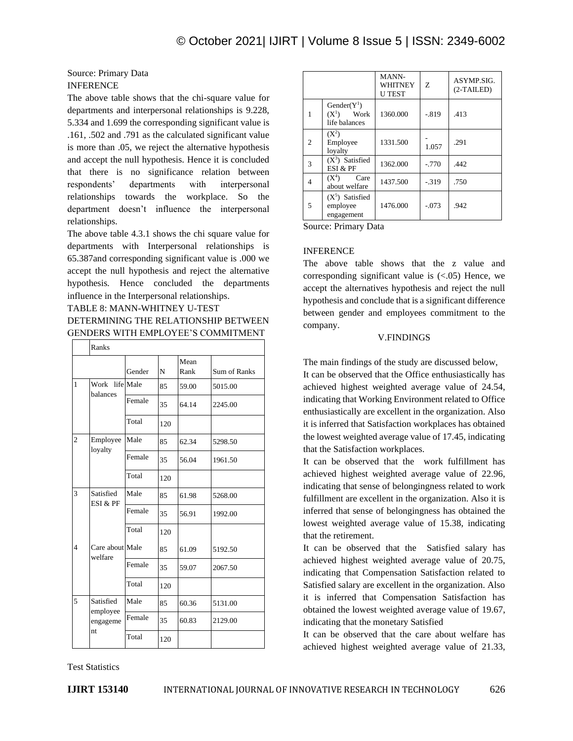# Source: Primary Data INFERENCE

The above table shows that the chi-square value for departments and interpersonal relationships is 9.228, 5.334 and 1.699 the corresponding significant value is .161, .502 and .791 as the calculated significant value is more than .05, we reject the alternative hypothesis and accept the null hypothesis. Hence it is concluded that there is no significance relation between respondents' departments with interpersonal relationships towards the workplace. So the department doesn't influence the interpersonal relationships.

The above table 4.3.1 shows the chi square value for departments with Interpersonal relationships is 65.387and corresponding significant value is .000 we accept the null hypothesis and reject the alternative hypothesis. Hence concluded the departments influence in the Interpersonal relationships.

# TABLE 8: MANN-WHITNEY U-TEST DETERMINING THE RELATIONSHIP BETWEEN GENDERS WITH EMPLOYEE'S COMMITMENT

|                         | Ranks                                    |        |     |              |                     |
|-------------------------|------------------------------------------|--------|-----|--------------|---------------------|
|                         |                                          | Gender | N   | Mean<br>Rank | <b>Sum of Ranks</b> |
| 1                       | Work life Male<br>balances               |        | 85  | 59.00        | 5015.00             |
|                         |                                          | Female | 35  | 64.14        | 2245.00             |
|                         |                                          | Total  | 120 |              |                     |
| $\overline{2}$          | Employee                                 | Male   | 85  | 62.34        | 5298.50             |
|                         | loyalty                                  | Female | 35  | 56.04        | 1961.50             |
|                         |                                          | Total  | 120 |              |                     |
| 3                       | Satisfied<br>ESI & PF                    | Male   | 85  | 61.98        | 5268.00             |
|                         |                                          | Female | 35  | 56.91        | 1992.00             |
|                         |                                          | Total  | 120 |              |                     |
| $\overline{\mathbf{4}}$ | Care about Male<br>welfare               |        | 85  | 61.09        | 5192.50             |
|                         |                                          | Female | 35  | 59.07        | 2067.50             |
|                         |                                          | Total  | 120 |              |                     |
| 5                       | Satisfied<br>employee<br>engageme<br>nt. | Male   | 85  | 60.36        | 5131.00             |
|                         |                                          | Female | 35  | 60.83        | 2129.00             |
|                         |                                          | Total  | 120 |              |                     |

|                |                                                   | MANN-<br>WHITNEY<br><b>UTEST</b> | Z        | ASYMP.SIG.<br>$(2-TAILED)$ |
|----------------|---------------------------------------------------|----------------------------------|----------|----------------------------|
| 1              | $Gender(Y^1)$<br>$(X^1)$<br>Work<br>life balances | 1360.000                         | $-.819$  | .413                       |
| $\overline{c}$ | $(X^2)$<br>Employee<br>lovalty                    | 1331.500                         | 1.057    | .291                       |
| 3              | $(X^3)$ Satisfied<br>ESI & PF                     | 1362.000                         | $-0.770$ | .442                       |
| $\overline{4}$ | $(X^4)$<br>Care<br>about welfare                  | 1437.500                         | $-319$   | .750                       |
| 5              | $(X5)$ Satisfied<br>employee<br>engagement        | 1476.000                         | $-.073$  | .942                       |

Source: Primary Data

#### INFERENCE

The above table shows that the z value and corresponding significant value is  $(<.05)$  Hence, we accept the alternatives hypothesis and reject the null hypothesis and conclude that is a significant difference between gender and employees commitment to the company.

#### V.FINDINGS

The main findings of the study are discussed below,

It can be observed that the Office enthusiastically has achieved highest weighted average value of 24.54, indicating that Working Environment related to Office enthusiastically are excellent in the organization. Also it is inferred that Satisfaction workplaces has obtained the lowest weighted average value of 17.45, indicating that the Satisfaction workplaces.

It can be observed that the work fulfillment has achieved highest weighted average value of 22.96, indicating that sense of belongingness related to work fulfillment are excellent in the organization. Also it is inferred that sense of belongingness has obtained the lowest weighted average value of 15.38, indicating that the retirement.

It can be observed that the Satisfied salary has achieved highest weighted average value of 20.75, indicating that Compensation Satisfaction related to Satisfied salary are excellent in the organization. Also it is inferred that Compensation Satisfaction has obtained the lowest weighted average value of 19.67, indicating that the monetary Satisfied

It can be observed that the care about welfare has achieved highest weighted average value of 21.33,

Test Statistics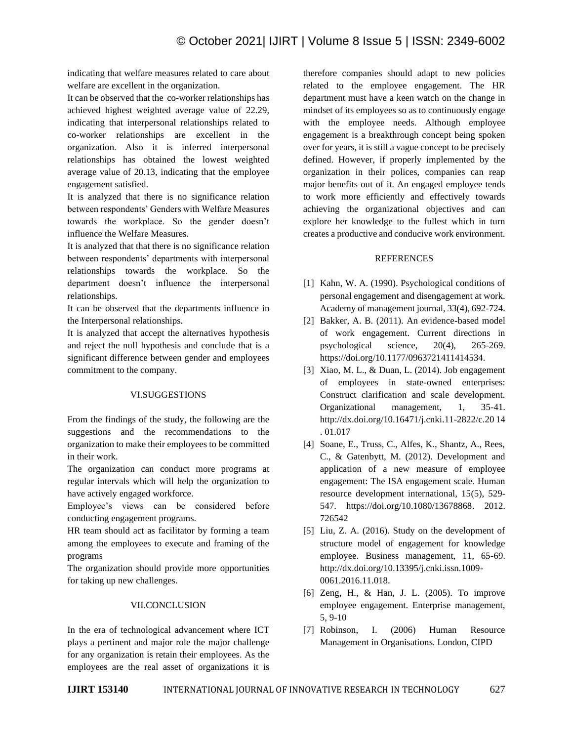indicating that welfare measures related to care about welfare are excellent in the organization.

It can be observed that the co-worker relationships has achieved highest weighted average value of 22.29, indicating that interpersonal relationships related to co-worker relationships are excellent in the organization. Also it is inferred interpersonal relationships has obtained the lowest weighted average value of 20.13, indicating that the employee engagement satisfied.

It is analyzed that there is no significance relation between respondents' Genders with Welfare Measures towards the workplace. So the gender doesn't influence the Welfare Measures.

It is analyzed that that there is no significance relation between respondents' departments with interpersonal relationships towards the workplace. So the department doesn't influence the interpersonal relationships.

It can be observed that the departments influence in the Interpersonal relationships.

It is analyzed that accept the alternatives hypothesis and reject the null hypothesis and conclude that is a significant difference between gender and employees commitment to the company.

#### VI.SUGGESTIONS

From the findings of the study, the following are the suggestions and the recommendations to the organization to make their employees to be committed in their work.

The organization can conduct more programs at regular intervals which will help the organization to have actively engaged workforce.

Employee's views can be considered before conducting engagement programs.

HR team should act as facilitator by forming a team among the employees to execute and framing of the programs

The organization should provide more opportunities for taking up new challenges.

#### VII.CONCLUSION

In the era of technological advancement where ICT plays a pertinent and major role the major challenge for any organization is retain their employees. As the employees are the real asset of organizations it is therefore companies should adapt to new policies related to the employee engagement. The HR department must have a keen watch on the change in mindset of its employees so as to continuously engage with the employee needs. Although employee engagement is a breakthrough concept being spoken over for years, it is still a vague concept to be precisely defined. However, if properly implemented by the organization in their polices, companies can reap major benefits out of it. An engaged employee tends to work more efficiently and effectively towards achieving the organizational objectives and can explore her knowledge to the fullest which in turn creates a productive and conducive work environment.

#### REFERENCES

- [1] Kahn, W. A. (1990). Psychological conditions of personal engagement and disengagement at work. Academy of management journal, 33(4), 692-724.
- [2] Bakker, A. B. (2011). An evidence-based model of work engagement. Current directions in psychological science, 20(4), 265-269. https://doi.org/10.1177/0963721411414534.
- [3] Xiao, M. L., & Duan, L. (2014). Job engagement of employees in state-owned enterprises: Construct clarification and scale development. Organizational management, 1, 35-41. http://dx.doi.org/10.16471/j.cnki.11-2822/c.20 14 . 01.017
- [4] Soane, E., Truss, C., Alfes, K., Shantz, A., Rees, C., & Gatenbytt, M. (2012). Development and application of a new measure of employee engagement: The ISA engagement scale. Human resource development international, 15(5), 529- 547. https://doi.org/10.1080/13678868. 2012. 726542
- [5] Liu, Z. A. (2016). Study on the development of structure model of engagement for knowledge employee. Business management, 11, 65-69. http://dx.doi.org/10.13395/j.cnki.issn.1009- 0061.2016.11.018.
- [6] Zeng, H., & Han, J. L. (2005). To improve employee engagement. Enterprise management, 5, 9-10
- [7] Robinson, I. (2006) Human Resource Management in Organisations. London, CIPD